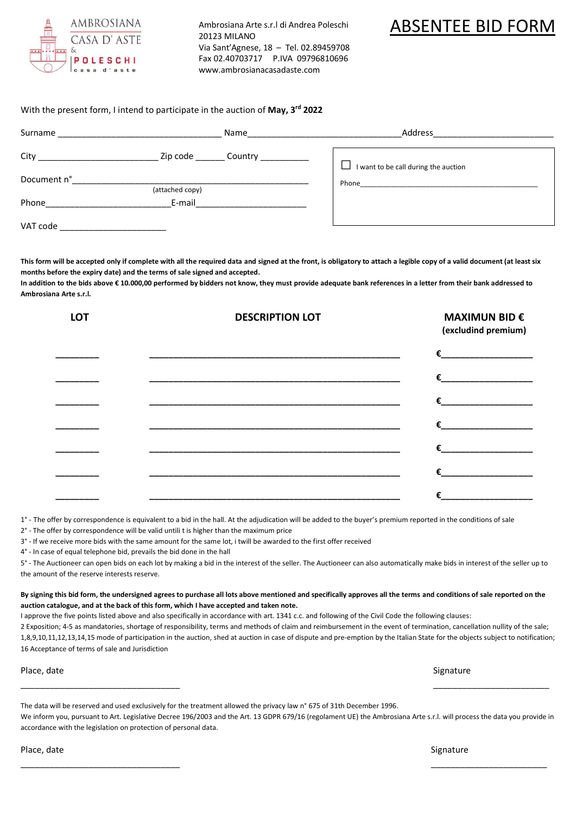

Ambrosiana Arte s.r.l di Andrea Poleschi 20123 MILANO Via Sant'Agnese, 18 – Tel. 02.89459708 Fax 02.40703717 P.IVA 09796810696 [www.ambrosianacasadaste.com](http://www.ambrosianacasadaste.com/)

## ABSENTEE BID FORM

## With the present form, I intend to participate in the auction of **May, 3rd 2022**

| Surname                           |                 | Name                                    | Address                              |
|-----------------------------------|-----------------|-----------------------------------------|--------------------------------------|
| City <b>Called Structure City</b> |                 | Zip code _________ Country ____________ | I want to be call during the auction |
| Document n°                       | (attached copy) |                                         |                                      |
| Phone                             | E-mail          |                                         |                                      |
| VAT code                          |                 |                                         |                                      |

**This form will be accepted only if complete with all the required data and signed at the front, is obligatory to attach a legible copy of a valid document (at least six months before the expiry date) and the terms of sale signed and accepted.**

In addition to the bids above € 10.000,00 performed by bidders not know, they must provide adequate bank references in a letter from their bank addressed to **Ambrosiana Arte s.r.l.** 

| <b>LOT</b> | <b>DESCRIPTION LOT</b> | <b>MAXIMUN BID €</b><br>(excludind premium)                                                                                                                                                                                                                                                                                                                                        |
|------------|------------------------|------------------------------------------------------------------------------------------------------------------------------------------------------------------------------------------------------------------------------------------------------------------------------------------------------------------------------------------------------------------------------------|
|            |                        | €                                                                                                                                                                                                                                                                                                                                                                                  |
|            |                        | $\epsilon$ and the set of $\epsilon$                                                                                                                                                                                                                                                                                                                                               |
|            |                        | €                                                                                                                                                                                                                                                                                                                                                                                  |
|            |                        | €                                                                                                                                                                                                                                                                                                                                                                                  |
|            |                        | $\epsilon$ and $\epsilon$ and $\epsilon$ and $\epsilon$ and $\epsilon$ and $\epsilon$ and $\epsilon$ and $\epsilon$ and $\epsilon$ and $\epsilon$ and $\epsilon$ and $\epsilon$ and $\epsilon$ and $\epsilon$ and $\epsilon$ and $\epsilon$ and $\epsilon$ and $\epsilon$ and $\epsilon$ and $\epsilon$ and $\epsilon$ and $\epsilon$ and $\epsilon$ and $\epsilon$ and $\epsilon$ |
|            |                        | €                                                                                                                                                                                                                                                                                                                                                                                  |
|            |                        | €                                                                                                                                                                                                                                                                                                                                                                                  |

1° - The offer by correspondence is equivalent to a bid in the hall. At the adjudication will be added to the buyer's premium reported in the conditions of sale

2° - The offer by correspondence will be valid untili t is higher than the maximum price

3° - If we receive more bids with the same amount for the same lot, i twill be awarded to the first offer received

4° - In case of equal telephone bid, prevails the bid done in the hall

5° - The Auctioneer can open bids on each lot by making a bid in the interest of the seller. The Auctioneer can also automatically make bids in interest of the seller up to the amount of the reserve interests reserve.

**By signing this bid form, the undersigned agrees to purchase all lots above mentioned and specifically approves all the terms and conditions of sale reported on the auction catalogue, and at the back of this form, which I have accepted and taken note.**

I approve the five points listed above and also specifically in accordance with art. 1341 c.c. and following of the Civil Code the following clauses:

2 Exposition; 4-5 as mandatories, shortage of responsibility, terms and methods of claim and reimbursement in the event of termination, cancellation nullity of the sale; 1,8,9,10,11,12,13,14,15 mode of participation in the auction, shed at auction in case of dispute and pre-emption by the Italian State for the objects subject to notification; 16 Acceptance of terms of sale and Jurisdiction

Place, date Signature Signature (Signature Signature Signature Signature Signature Signature Signature Signature

The data will be reserved and used exclusively for the treatment allowed the privacy law n° 675 of 31th December 1996. We inform you, pursuant to Art. Legislative Decree 196/2003 and the Art. 13 GDPR 679/16 (regolament UE) the Ambrosiana Arte s.r.l. will process the data you provide in accordance with the legislation on protection of personal data.

 $\overline{\phantom{a}}$  , and the contract of the contract of the contract of the contract of the contract of the contract of the contract of the contract of the contract of the contract of the contract of the contract of the contrac

\_\_\_\_\_\_\_\_\_\_\_\_\_\_\_\_\_\_\_\_\_\_\_\_\_\_\_\_\_\_\_\_\_ \_\_\_\_\_\_\_\_\_\_\_\_\_\_\_\_\_\_\_\_\_\_\_\_

Place, date Signature Signature (Signature Signature Signature Signature Signature Signature Signature Signature